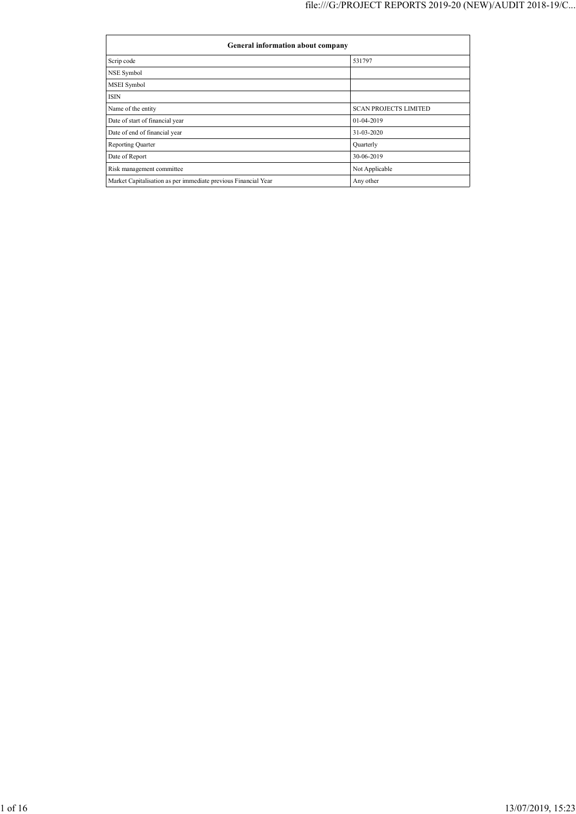| General information about company                              |                              |
|----------------------------------------------------------------|------------------------------|
| Scrip code                                                     | 531797                       |
| NSE Symbol                                                     |                              |
| <b>MSEI</b> Symbol                                             |                              |
| ISIN                                                           |                              |
| Name of the entity                                             | <b>SCAN PROJECTS LIMITED</b> |
| Date of start of financial year                                | 01-04-2019                   |
| Date of end of financial year                                  | 31-03-2020                   |
| Reporting Quarter                                              | Quarterly                    |
| Date of Report                                                 | 30-06-2019                   |
| Risk management committee                                      | Not Applicable               |
| Market Capitalisation as per immediate previous Financial Year | Any other                    |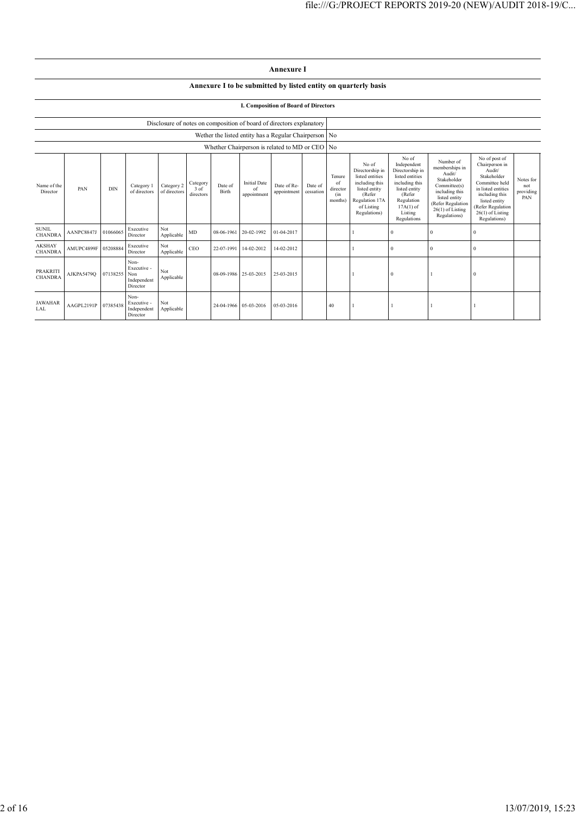## **Annexure I to be submitted by listed entity on quarterly basis**

## **I. Composition of Board of Directors**

|                                                | Disclosure of notes on composition of board of directors explanatory |            |                                                       |                            |                                 |                  |                                          |                            |                      |                                            |                                                                                                                                          |                                                                                                                                                                |                                                                                                                                                                    |                                                                                                                                                                                                |                                      |
|------------------------------------------------|----------------------------------------------------------------------|------------|-------------------------------------------------------|----------------------------|---------------------------------|------------------|------------------------------------------|----------------------------|----------------------|--------------------------------------------|------------------------------------------------------------------------------------------------------------------------------------------|----------------------------------------------------------------------------------------------------------------------------------------------------------------|--------------------------------------------------------------------------------------------------------------------------------------------------------------------|------------------------------------------------------------------------------------------------------------------------------------------------------------------------------------------------|--------------------------------------|
|                                                | Wether the listed entity has a Regular Chairperson No                |            |                                                       |                            |                                 |                  |                                          |                            |                      |                                            |                                                                                                                                          |                                                                                                                                                                |                                                                                                                                                                    |                                                                                                                                                                                                |                                      |
| Whether Chairperson is related to MD or CEO No |                                                                      |            |                                                       |                            |                                 |                  |                                          |                            |                      |                                            |                                                                                                                                          |                                                                                                                                                                |                                                                                                                                                                    |                                                                                                                                                                                                |                                      |
| Name of the<br>Director                        | PAN                                                                  | <b>DIN</b> | Category 1<br>of directors                            | Category 2<br>of directors | Category<br>$3$ of<br>directors | Date of<br>Birth | <b>Initial Date</b><br>of<br>appointment | Date of Re-<br>appointment | Date of<br>cessation | Tenure<br>of<br>director<br>(in<br>months) | No of<br>Directorship in<br>listed entities<br>including this<br>listed entity<br>(Refer<br>Regulation 17A<br>of Listing<br>Regulations) | No of<br>Independent<br>Directorship in<br>listed entities<br>including this<br>listed entity<br>(Refer<br>Regulation<br>$17A(1)$ of<br>Listing<br>Regulations | Number of<br>memberships in<br>Audit/<br>Stakeholder<br>Committee(s)<br>including this<br>listed entity<br>(Refer Regulation<br>$26(1)$ of Listing<br>Regulations) | No of post of<br>Chairperson in<br>Audit/<br>Stakeholder<br>Committee held<br>in listed entities<br>including this<br>listed entity<br>(Refer Regulation<br>$26(1)$ of Listing<br>Regulations) | Notes for<br>not<br>providing<br>PAN |
| <b>SUNIL</b><br><b>CHANDRA</b>                 | AANPC8847J                                                           | 01066065   | Executive<br>Director                                 | Not<br>Applicable          | MD                              | 08-06-1961       | 20-02-1992                               | 01-04-2017                 |                      |                                            |                                                                                                                                          | $\Omega$                                                                                                                                                       | $\theta$                                                                                                                                                           | $^{0}$                                                                                                                                                                                         |                                      |
| <b>AKSHAY</b><br><b>CHANDRA</b>                | AMUPC4899F 05208884                                                  |            | Executive<br>Director                                 | Not<br>Applicable          | CEO                             | 22-07-1991       | 14-02-2012                               | 14-02-2012                 |                      |                                            |                                                                                                                                          | $\Omega$                                                                                                                                                       | $\Omega$                                                                                                                                                           | $^{0}$                                                                                                                                                                                         |                                      |
| <b>PRAKRITI</b><br><b>CHANDRA</b>              | AJKPA5479Q                                                           | 07138255   | Non-<br>Executive -<br>Non<br>Independent<br>Director | Not<br>Applicable          |                                 | 08-09-1986       | 25-03-2015                               | 25-03-2015                 |                      |                                            |                                                                                                                                          | $\Omega$                                                                                                                                                       |                                                                                                                                                                    | $\Omega$                                                                                                                                                                                       |                                      |
| <b>JAWAHAR</b><br>LAL                          | AAGPL2191P                                                           | 07385438   | Non-<br>Executive -<br>Independent<br>Director        | Not<br>Applicable          |                                 | 24-04-1966       | 05-03-2016                               | 05-03-2016                 |                      | 40                                         |                                                                                                                                          |                                                                                                                                                                |                                                                                                                                                                    |                                                                                                                                                                                                |                                      |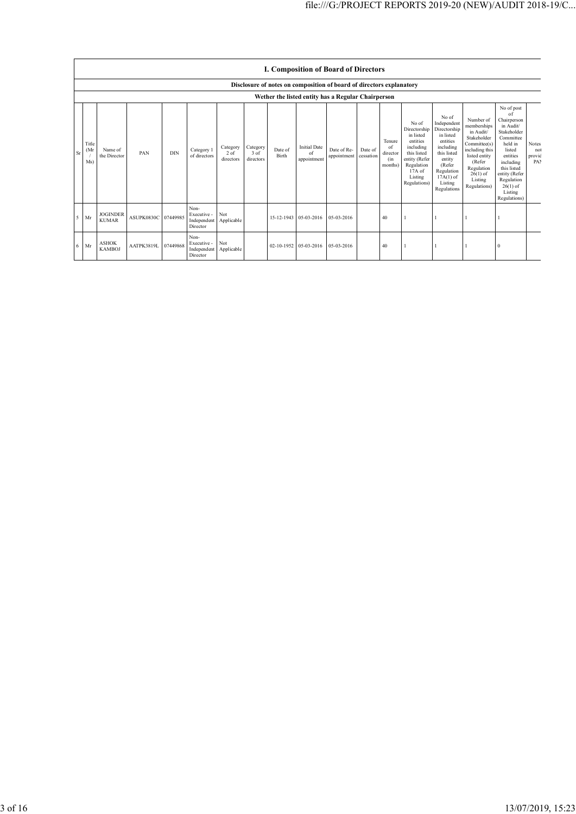|               |                      | I. Composition of Board of Directors                                 |                     |            |                                                |                                 |                                 |                  |                                          |                            |                      |                                            |                                                                                                                                                  |                                                                                                                                                                      |                                                                                                                                                                          |                                                                                                                                                                                                               |                                      |
|---------------|----------------------|----------------------------------------------------------------------|---------------------|------------|------------------------------------------------|---------------------------------|---------------------------------|------------------|------------------------------------------|----------------------------|----------------------|--------------------------------------------|--------------------------------------------------------------------------------------------------------------------------------------------------|----------------------------------------------------------------------------------------------------------------------------------------------------------------------|--------------------------------------------------------------------------------------------------------------------------------------------------------------------------|---------------------------------------------------------------------------------------------------------------------------------------------------------------------------------------------------------------|--------------------------------------|
|               |                      | Disclosure of notes on composition of board of directors explanatory |                     |            |                                                |                                 |                                 |                  |                                          |                            |                      |                                            |                                                                                                                                                  |                                                                                                                                                                      |                                                                                                                                                                          |                                                                                                                                                                                                               |                                      |
|               |                      | Wether the listed entity has a Regular Chairperson                   |                     |            |                                                |                                 |                                 |                  |                                          |                            |                      |                                            |                                                                                                                                                  |                                                                                                                                                                      |                                                                                                                                                                          |                                                                                                                                                                                                               |                                      |
| <sub>Sr</sub> | Title<br>(Mr)<br>Ms) | Name of<br>the Director                                              | PAN                 | <b>DIN</b> | Category 1<br>of directors                     | Category<br>$2$ of<br>directors | Category<br>$3$ of<br>directors | Date of<br>Birth | <b>Initial Date</b><br>of<br>appointment | Date of Re-<br>appointment | Date of<br>cessation | Tenure<br>of<br>director<br>(in<br>months) | No of<br>Directorship<br>in listed<br>entities<br>including<br>this listed<br>entity (Refer<br>Regulation<br>$17A$ of<br>Listing<br>Regulations) | No of<br>Independent<br>Directorship<br>in listed<br>entities<br>including<br>this listed<br>entity<br>(Refer<br>Regulation<br>$17A(1)$ of<br>Listing<br>Regulations | Number of<br>memberships<br>in Audit/<br>Stakeholder<br>Committee(s)<br>including this<br>listed entity<br>(Refer<br>Regulation<br>$26(1)$ of<br>Listing<br>Regulations) | No of post<br>of<br>Chairperson<br>in Audit/<br>Stakeholder<br>Committee<br>held in<br>listed<br>entities<br>including<br>this listed<br>entity (Refer<br>Regulation<br>$26(1)$ of<br>Listing<br>Regulations) | <b>Notes</b><br>not<br>provic<br>PA1 |
| 5             | Mr                   | <b>JOGINDER</b><br><b>KUMAR</b>                                      | ASUPK0830C 07449985 |            | Non-<br>Executive -<br>Independent<br>Director | Not<br>Applicable               |                                 | 15-12-1943       | 05-03-2016                               | 05-03-2016                 |                      | 40                                         |                                                                                                                                                  |                                                                                                                                                                      |                                                                                                                                                                          |                                                                                                                                                                                                               |                                      |
| 6             | Mr                   | <b>ASHOK</b><br><b>KAMBOJ</b>                                        | AATPK3819L          | 07449868   | Non-<br>Executive -<br>Independent<br>Director | Not<br>Applicable               |                                 | 02-10-1952       | 05-03-2016                               | 05-03-2016                 |                      | 40                                         |                                                                                                                                                  |                                                                                                                                                                      |                                                                                                                                                                          | $\Omega$                                                                                                                                                                                                      |                                      |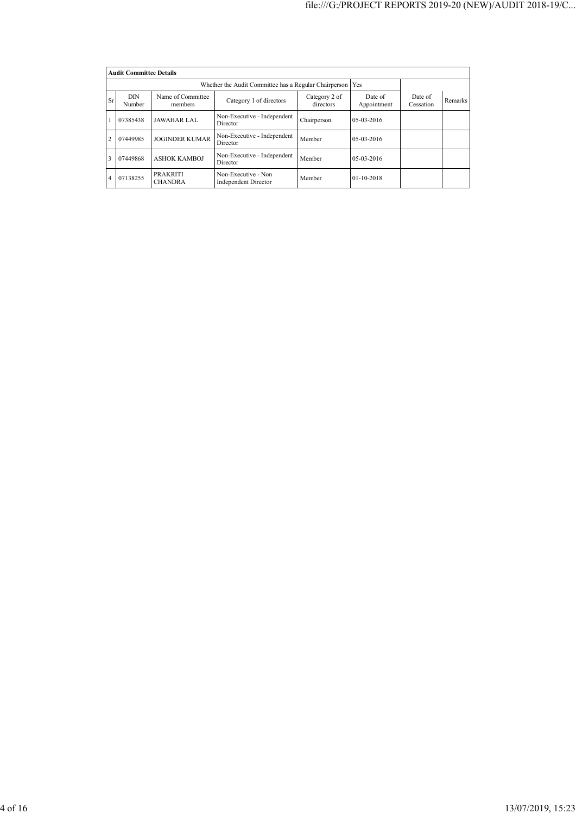|                | <b>Audit Committee Details</b>                                                                                                   |                                   |                                                    |             |              |                      |         |  |  |
|----------------|----------------------------------------------------------------------------------------------------------------------------------|-----------------------------------|----------------------------------------------------|-------------|--------------|----------------------|---------|--|--|
|                |                                                                                                                                  |                                   |                                                    |             |              |                      |         |  |  |
| <b>Sr</b>      | DIN<br>Name of Committee<br>Category 2 of<br>Date of<br>Category 1 of directors<br>directors<br>Appointment<br>Number<br>members |                                   |                                                    |             |              | Date of<br>Cessation | Remarks |  |  |
|                | Non-Executive - Independent<br><b>JAWAHAR LAL</b><br>07385438<br>Director                                                        |                                   |                                                    | Chairperson | 05-03-2016   |                      |         |  |  |
| $\overline{c}$ | 07449985                                                                                                                         | <b>JOGINDER KUMAR</b>             | Non-Executive - Independent<br>Director            | Member      | 05-03-2016   |                      |         |  |  |
| 3              | 07449868                                                                                                                         | <b>ASHOK KAMBOJ</b>               | Non-Executive - Independent<br>Director            | Member      | 05-03-2016   |                      |         |  |  |
| $\overline{4}$ | 07138255                                                                                                                         | <b>PRAKRITI</b><br><b>CHANDRA</b> | Non-Executive - Non<br><b>Independent Director</b> | Member      | $01-10-2018$ |                      |         |  |  |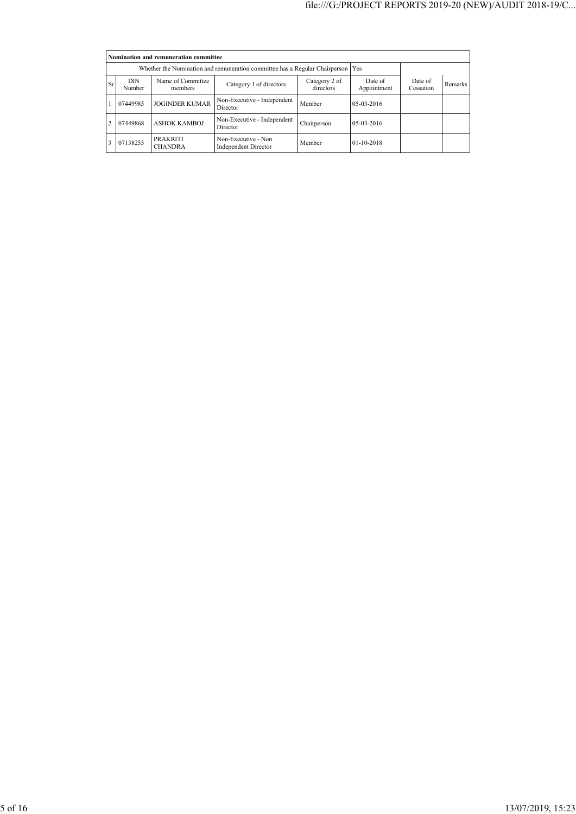| Nomination and remuneration committee |               |                                                                             |                                                    |                            |                        |                      |         |  |  |  |
|---------------------------------------|---------------|-----------------------------------------------------------------------------|----------------------------------------------------|----------------------------|------------------------|----------------------|---------|--|--|--|
|                                       |               | Whether the Nomination and remuneration committee has a Regular Chairperson |                                                    | Yes                        |                        |                      |         |  |  |  |
| Sr                                    | DIN<br>Number | Name of Committee<br>members                                                | Category 1 of directors                            | Category 2 of<br>directors | Date of<br>Appointment | Date of<br>Cessation | Remarks |  |  |  |
|                                       | 07449985      | <b>JOGINDER KUMAR</b>                                                       | Non-Executive - Independent<br>Director            | Member                     | $05-03-2016$           |                      |         |  |  |  |
| $\overline{c}$                        | 07449868      | <b>ASHOK KAMBOJ</b>                                                         | Non-Executive - Independent<br>Director            | Chairperson                | $05-03-2016$           |                      |         |  |  |  |
|                                       | 07138255      | <b>PRAKRITI</b><br><b>CHANDRA</b>                                           | Non-Executive - Non<br><b>Independent Director</b> | Member                     | 01-10-2018             |                      |         |  |  |  |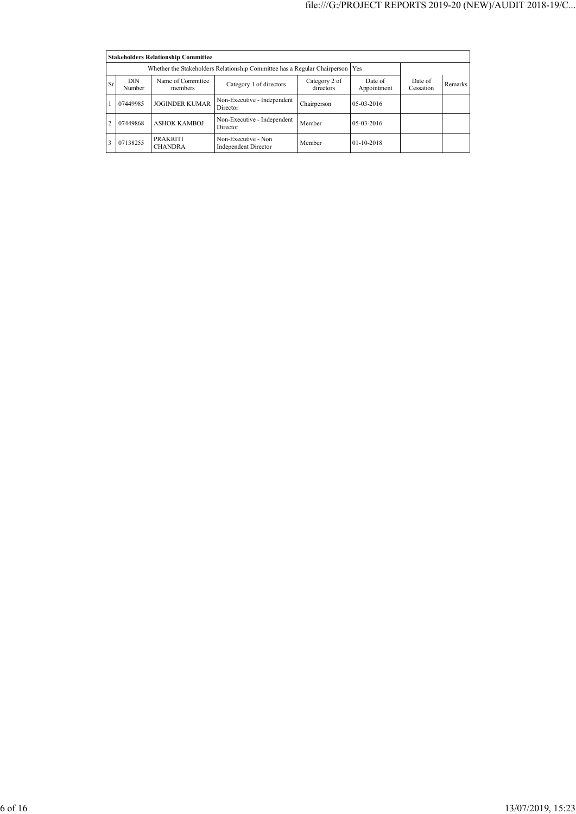|                | <b>Stakeholders Relationship Committee</b> |                                                                                  |                                                    |                            |                        |                      |         |  |  |  |  |
|----------------|--------------------------------------------|----------------------------------------------------------------------------------|----------------------------------------------------|----------------------------|------------------------|----------------------|---------|--|--|--|--|
|                |                                            | Whether the Stakeholders Relationship Committee has a Regular Chairperson<br>Yes |                                                    |                            |                        |                      |         |  |  |  |  |
| Sr             | DIN<br>Number                              | Name of Committee<br>members                                                     | Category 1 of directors                            | Category 2 of<br>directors | Date of<br>Appointment | Date of<br>Cessation | Remarks |  |  |  |  |
|                | 07449985                                   | <b>JOGINDER KUMAR</b>                                                            | Non-Executive - Independent<br>Director            | Chairperson                | $05-03-2016$           |                      |         |  |  |  |  |
| $\overline{c}$ | 07449868                                   | <b>ASHOK KAMBOJ</b>                                                              | Non-Executive - Independent<br>Director            | Member                     | $05-03-2016$           |                      |         |  |  |  |  |
|                | 07138255                                   | <b>PRAKRITI</b><br><b>CHANDRA</b>                                                | Non-Executive - Non<br><b>Independent Director</b> | Member                     | $01-10-2018$           |                      |         |  |  |  |  |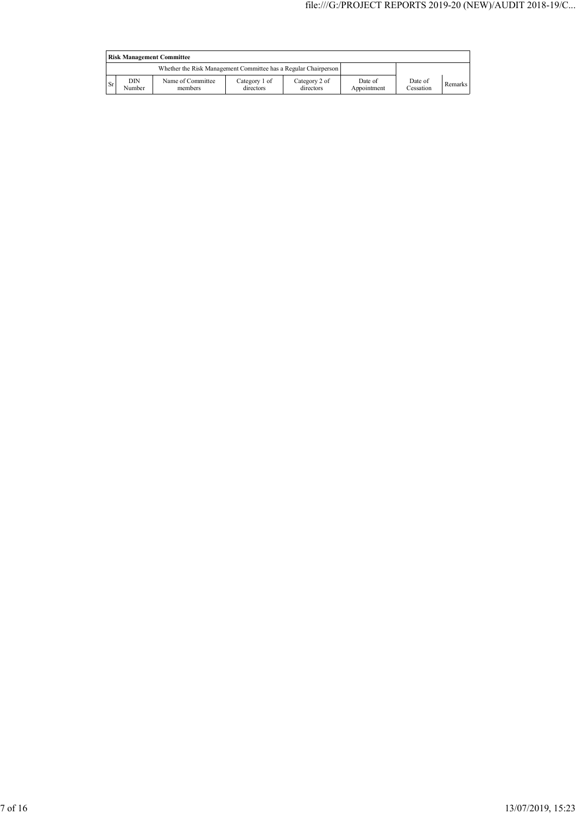|           | <b>Risk Management Committee</b> |                                                                 |                            |                            |                        |                      |         |  |  |
|-----------|----------------------------------|-----------------------------------------------------------------|----------------------------|----------------------------|------------------------|----------------------|---------|--|--|
|           |                                  | Whether the Risk Management Committee has a Regular Chairperson |                            |                            |                        |                      |         |  |  |
| <b>Sr</b> | DIN<br>Number                    | Name of Committee<br>members                                    | Category 1 of<br>directors | Category 2 of<br>directors | Date of<br>Appointment | Date of<br>Cessation | Remarks |  |  |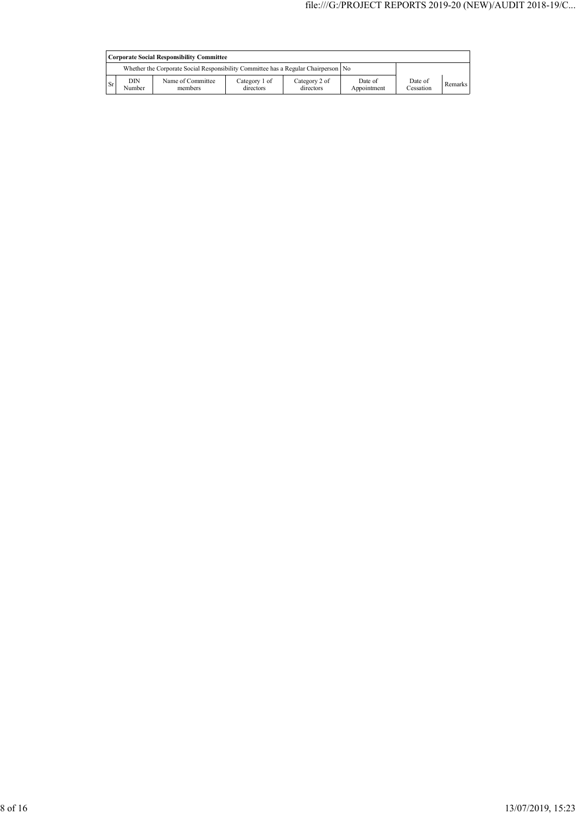|           | <b>Corporate Social Responsibility Committee</b> |                                                                                    |                            |                            |                        |                      |         |  |
|-----------|--------------------------------------------------|------------------------------------------------------------------------------------|----------------------------|----------------------------|------------------------|----------------------|---------|--|
|           |                                                  | Whether the Corporate Social Responsibility Committee has a Regular Chairperson No |                            |                            |                        |                      |         |  |
| <b>Sr</b> | DIN<br>Number                                    | Name of Committee<br>members                                                       | Category 1 of<br>directors | Category 2 of<br>directors | Date of<br>Appointment | Date of<br>Cessation | Remarks |  |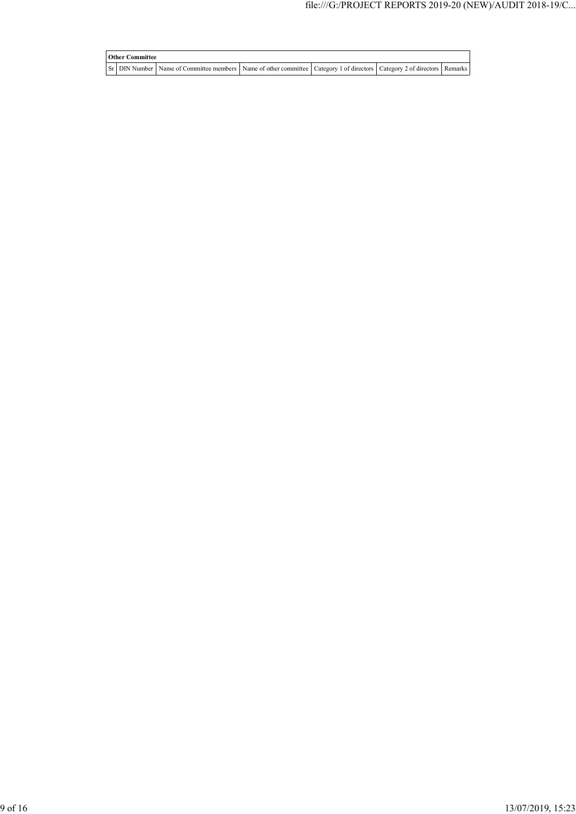## **Other Committee** Sr DIN Number Name of Committee members Name of other committee Category 1 of directors Category 2 of directors Remarks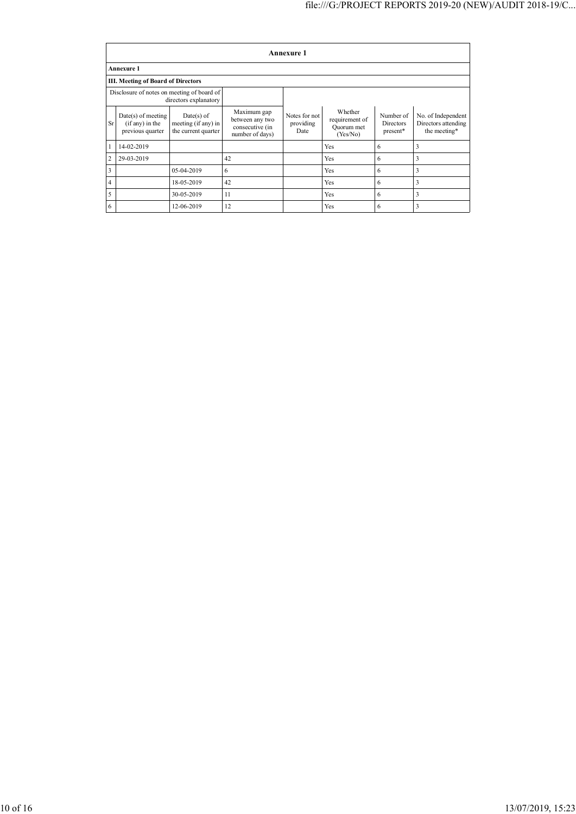|                | Annexure 1                                                    |                                                            |                                                                      |                                    |                                                     |                                    |                                                           |  |  |  |
|----------------|---------------------------------------------------------------|------------------------------------------------------------|----------------------------------------------------------------------|------------------------------------|-----------------------------------------------------|------------------------------------|-----------------------------------------------------------|--|--|--|
|                | <b>Annexure 1</b>                                             |                                                            |                                                                      |                                    |                                                     |                                    |                                                           |  |  |  |
|                | <b>III. Meeting of Board of Directors</b>                     |                                                            |                                                                      |                                    |                                                     |                                    |                                                           |  |  |  |
|                | Disclosure of notes on meeting of board of                    | directors explanatory                                      |                                                                      |                                    |                                                     |                                    |                                                           |  |  |  |
| <b>Sr</b>      | $Date(s)$ of meeting<br>$(if any)$ in the<br>previous quarter | $Date(s)$ of<br>meeting (if any) in<br>the current quarter | Maximum gap<br>between any two<br>consecutive (in<br>number of days) | Notes for not<br>providing<br>Date | Whether<br>requirement of<br>Quorum met<br>(Yes/No) | Number of<br>Directors<br>present* | No. of Independent<br>Directors attending<br>the meeting* |  |  |  |
| 1              | 14-02-2019                                                    |                                                            |                                                                      |                                    | Yes                                                 | 6                                  | 3                                                         |  |  |  |
| $\overline{2}$ | 29-03-2019                                                    |                                                            | 42                                                                   |                                    | Yes                                                 | 6                                  | 3                                                         |  |  |  |
| 3              |                                                               | 05-04-2019                                                 | 6                                                                    |                                    | Yes                                                 | 6                                  | 3                                                         |  |  |  |
| $\overline{4}$ |                                                               | 18-05-2019                                                 | 42                                                                   |                                    | Yes                                                 | 6                                  | 3                                                         |  |  |  |
| 5              |                                                               | 30-05-2019                                                 | 11                                                                   |                                    | Yes                                                 | 6                                  | 3                                                         |  |  |  |
| 6              |                                                               | 12-06-2019                                                 | 12                                                                   |                                    | Yes                                                 | 6                                  | 3                                                         |  |  |  |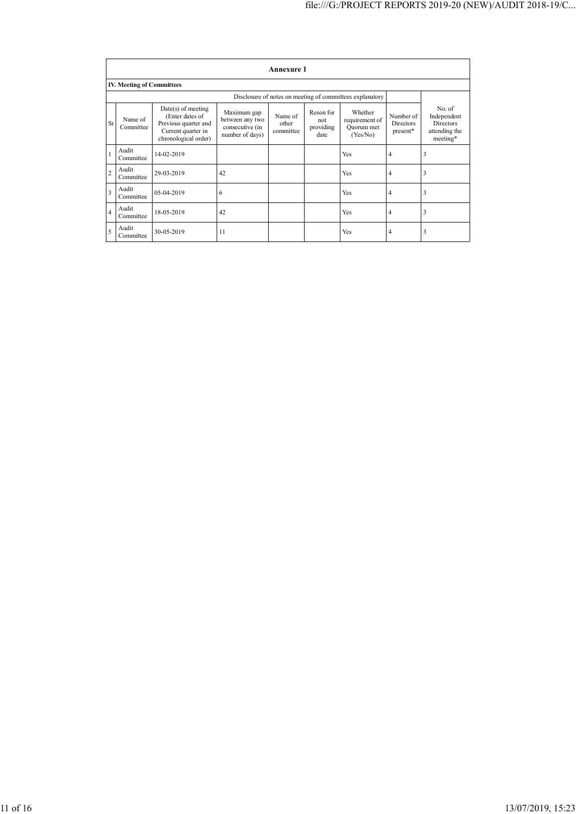|                         | <b>Annexure 1</b>                |                                                                                                               |                                                                      |                               |                                       |                                                          |                                    |                                                                        |  |  |  |
|-------------------------|----------------------------------|---------------------------------------------------------------------------------------------------------------|----------------------------------------------------------------------|-------------------------------|---------------------------------------|----------------------------------------------------------|------------------------------------|------------------------------------------------------------------------|--|--|--|
|                         | <b>IV. Meeting of Committees</b> |                                                                                                               |                                                                      |                               |                                       |                                                          |                                    |                                                                        |  |  |  |
|                         |                                  |                                                                                                               |                                                                      |                               |                                       | Disclosure of notes on meeting of committees explanatory |                                    |                                                                        |  |  |  |
| <b>Sr</b>               | Name of<br>Committee             | $Date(s)$ of meeting<br>(Enter dates of<br>Previous quarter and<br>Current quarter in<br>chronological order) | Maximum gap<br>between any two<br>consecutive (in<br>number of days) | Name of<br>other<br>committee | Reson for<br>not<br>providing<br>date | Whether<br>requirement of<br>Quorum met<br>(Yes/No)      | Number of<br>Directors<br>present* | No. of<br>Independent<br><b>Directors</b><br>attending the<br>meeting* |  |  |  |
| $\mathbf{1}$            | Audit<br>Committee               | 14-02-2019                                                                                                    |                                                                      |                               |                                       | Yes                                                      | $\overline{4}$                     | 3                                                                      |  |  |  |
| $\overline{c}$          | Audit<br>Committee               | 29-03-2019                                                                                                    | 42                                                                   |                               |                                       | Yes                                                      | $\overline{4}$                     | 3                                                                      |  |  |  |
| $\overline{\mathbf{3}}$ | Audit<br>Committee               | 05-04-2019                                                                                                    | 6                                                                    |                               |                                       | Yes                                                      | $\overline{4}$                     | 3                                                                      |  |  |  |
| $\overline{4}$          | Audit<br>Committee               | 18-05-2019                                                                                                    | 42                                                                   |                               |                                       | Yes                                                      | $\overline{4}$                     | 3                                                                      |  |  |  |
| 5                       | Audit<br>Committee               | 30-05-2019                                                                                                    | 11                                                                   |                               |                                       | Yes                                                      | 4                                  | 3                                                                      |  |  |  |
|                         |                                  |                                                                                                               |                                                                      |                               |                                       |                                                          |                                    |                                                                        |  |  |  |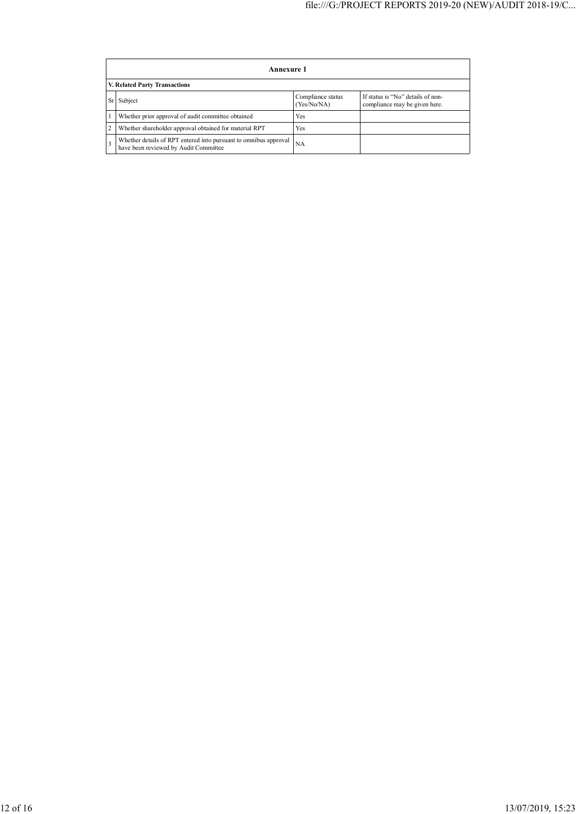| Annexure 1                                                                                                |                                  |                                                                    |  |  |  |  |  |  |  |
|-----------------------------------------------------------------------------------------------------------|----------------------------------|--------------------------------------------------------------------|--|--|--|--|--|--|--|
| V. Related Party Transactions                                                                             |                                  |                                                                    |  |  |  |  |  |  |  |
| Subject                                                                                                   | Compliance status<br>(Yes/No/NA) | If status is "No" details of non-<br>compliance may be given here. |  |  |  |  |  |  |  |
| Whether prior approval of audit committee obtained                                                        | Yes                              |                                                                    |  |  |  |  |  |  |  |
| Whether shareholder approval obtained for material RPT                                                    | Yes                              |                                                                    |  |  |  |  |  |  |  |
| Whether details of RPT entered into pursuant to omnibus approval<br>have been reviewed by Audit Committee | <b>NA</b>                        |                                                                    |  |  |  |  |  |  |  |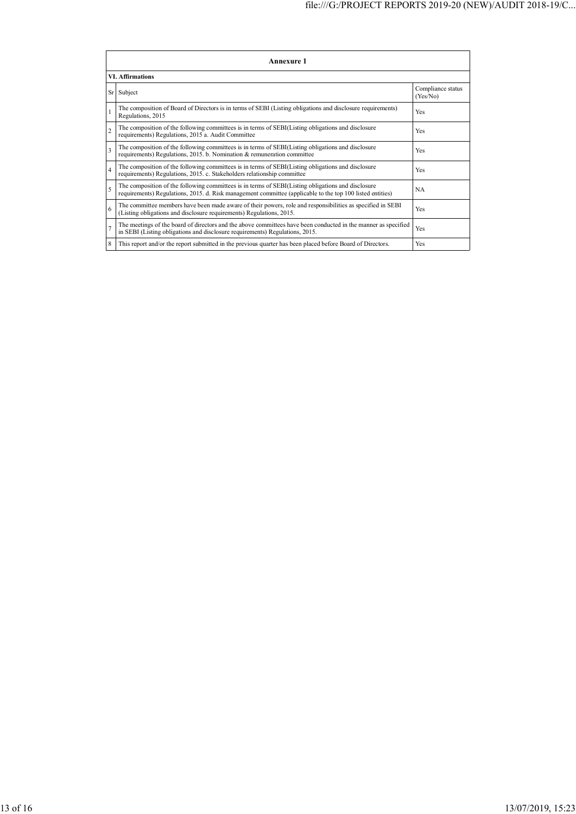| Annexure 1              |                                                                                                                                                                                                                 |                               |  |  |
|-------------------------|-----------------------------------------------------------------------------------------------------------------------------------------------------------------------------------------------------------------|-------------------------------|--|--|
| <b>VI.</b> Affirmations |                                                                                                                                                                                                                 |                               |  |  |
|                         | Sr Subject                                                                                                                                                                                                      | Compliance status<br>(Yes/No) |  |  |
| 1                       | The composition of Board of Directors is in terms of SEBI (Listing obligations and disclosure requirements)<br>Regulations, 2015                                                                                | Yes                           |  |  |
| $\overline{c}$          | The composition of the following committees is in terms of SEBI(Listing obligations and disclosure<br>requirements) Regulations, 2015 a. Audit Committee                                                        | Yes                           |  |  |
| 3                       | The composition of the following committees is in terms of SEBI(Listing obligations and disclosure<br>requirements) Regulations, 2015. b. Nomination & remuneration committee                                   | Yes                           |  |  |
| $\overline{4}$          | The composition of the following committees is in terms of SEBI(Listing obligations and disclosure<br>requirements) Regulations, 2015. c. Stakeholders relationship committee                                   | Yes                           |  |  |
| 5                       | The composition of the following committees is in terms of SEBI(Listing obligations and disclosure<br>requirements) Regulations, 2015. d. Risk management committee (applicable to the top 100 listed entities) | <b>NA</b>                     |  |  |
| 6                       | The committee members have been made aware of their powers, role and responsibilities as specified in SEBI<br>(Listing obligations and disclosure requirements) Regulations, 2015.                              | Yes                           |  |  |
| $\overline{7}$          | The meetings of the board of directors and the above committees have been conducted in the manner as specified<br>in SEBI (Listing obligations and disclosure requirements) Regulations, 2015.                  | Yes                           |  |  |
| 8                       | This report and/or the report submitted in the previous quarter has been placed before Board of Directors.                                                                                                      | Yes                           |  |  |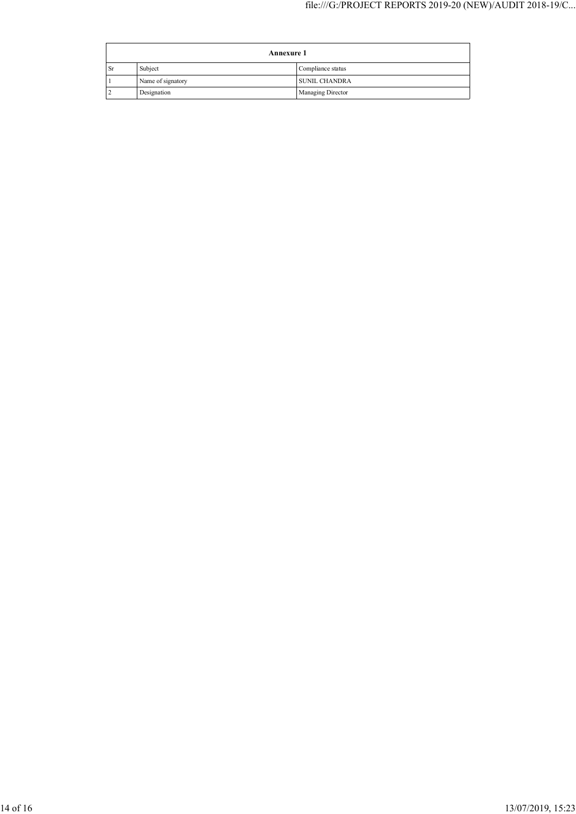| <b>Annexure 1</b> |                   |                          |
|-------------------|-------------------|--------------------------|
| Sr                | Subject           | Compliance status        |
|                   | Name of signatory | <b>SUNIL CHANDRA</b>     |
|                   | Designation       | <b>Managing Director</b> |